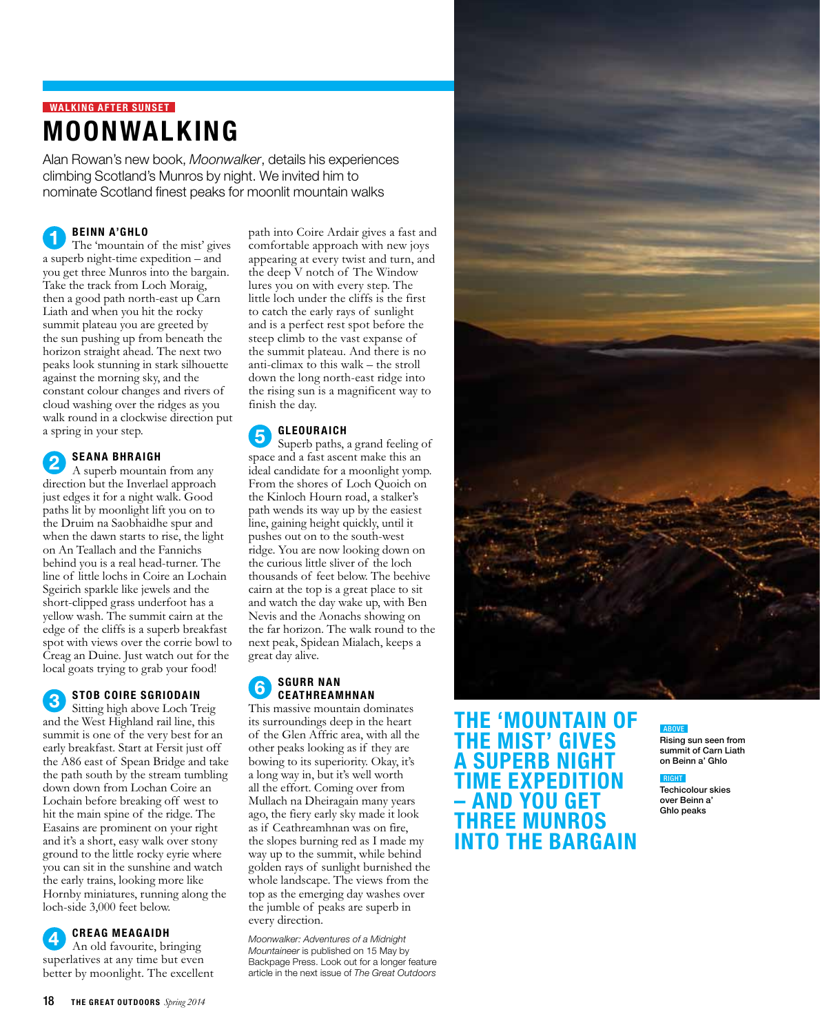## **WALKING AFTER SUNSET** Moonwalking

Alan Rowan's new book, *Moonwalker*, details his experiences climbing Scotland's Munros by night. We invited him to nominate Scotland finest peaks for moonlit mountain walks

## Beinn a'Ghlo

The 'mountain of the mist' gives a superb night-time expedition – and you get three Munros into the bargain. Take the track from Loch Moraig, then a good path north-east up Carn Liath and when you hit the rocky summit plateau you are greeted by the sun pushing up from beneath the horizon straight ahead. The next two peaks look stunning in stark silhouette against the morning sky, and the constant colour changes and rivers of cloud washing over the ridges as you walk round in a clockwise direction put a spring in your step.

### Seana Bhraigh  $\mathbf{2}$

A superb mountain from any direction but the Inverlael approach just edges it for a night walk. Good paths lit by moonlight lift you on to the Druim na Saobhaidhe spur and when the dawn starts to rise, the light on An Teallach and the Fannichs behind you is a real head-turner. The line of little lochs in Coire an Lochain Sgeirich sparkle like jewels and the short-clipped grass underfoot has a yellow wash. The summit cairn at the edge of the cliffs is a superb breakfast spot with views over the corrie bowl to Creag an Duine. Just watch out for the local goats trying to grab your food!

## STOB COIRE SGRIODAIN

 $\bf(3)$ Sitting high above Loch Treig and the West Highland rail line, this summit is one of the very best for an early breakfast. Start at Fersit just off the A86 east of Spean Bridge and take the path south by the stream tumbling down down from Lochan Coire an Lochain before breaking off west to hit the main spine of the ridge. The Easains are prominent on your right and it's a short, easy walk over stony ground to the little rocky eyrie where you can sit in the sunshine and watch the early trains, looking more like Hornby miniatures, running along the loch-side 3,000 feet below.

Creag Meagaidh

An old favourite, bringing superlatives at any time but even better by moonlight. The excellent

path into Coire Ardair gives a fast and comfortable approach with new joys appearing at every twist and turn, and the deep V notch of The Window lures you on with every step. The little loch under the cliffs is the first to catch the early rays of sunlight and is a perfect rest spot before the steep climb to the vast expanse of the summit plateau. And there is no anti-climax to this walk – the stroll down the long north-east ridge into the rising sun is a magnificent way to finish the day.

### **GLEOURAICH** 5

Superb paths, a grand feeling of space and a fast ascent make this an ideal candidate for a moonlight yomp. From the shores of Loch Quoich on the Kinloch Hourn road, a stalker's path wends its way up by the easiest line, gaining height quickly, until it pushes out on to the south-west ridge. You are now looking down on the curious little sliver of the loch thousands of feet below. The beehive cairn at the top is a great place to sit and watch the day wake up, with Ben Nevis and the Aonachs showing on the far horizon. The walk round to the next peak, Spidean Mialach, keeps a great day alive.

#### Sgurr nan 6 **CEATHREAMHNAN**

This massive mountain dominates its surroundings deep in the heart of the Glen Affric area, with all the other peaks looking as if they are bowing to its superiority. Okay, it's a long way in, but it's well worth all the effort. Coming over from Mullach na Dheiragain many years ago, the fiery early sky made it look as if Ceathreamhnan was on fire, the slopes burning red as I made my way up to the summit, while behind golden rays of sunlight burnished the whole landscape. The views from the top as the emerging day washes over the jumble of peaks are superb in every direction.

*Moonwalker: Adventures of a Midnight Mountaineer* is published on 15 May by Backpage Press. Look out for a longer feature article in the next issue of *The Great Outdoors*



## The 'mountain of the mist' gives a superb night time expedition – and you get three Munros into the bargain

## <u>ABOVE</u>

Rising sun seen from summit of Carn Liath on Beinn a' Ghlo

### right

Techicolour skies over Beinn a' Ghlo peaks